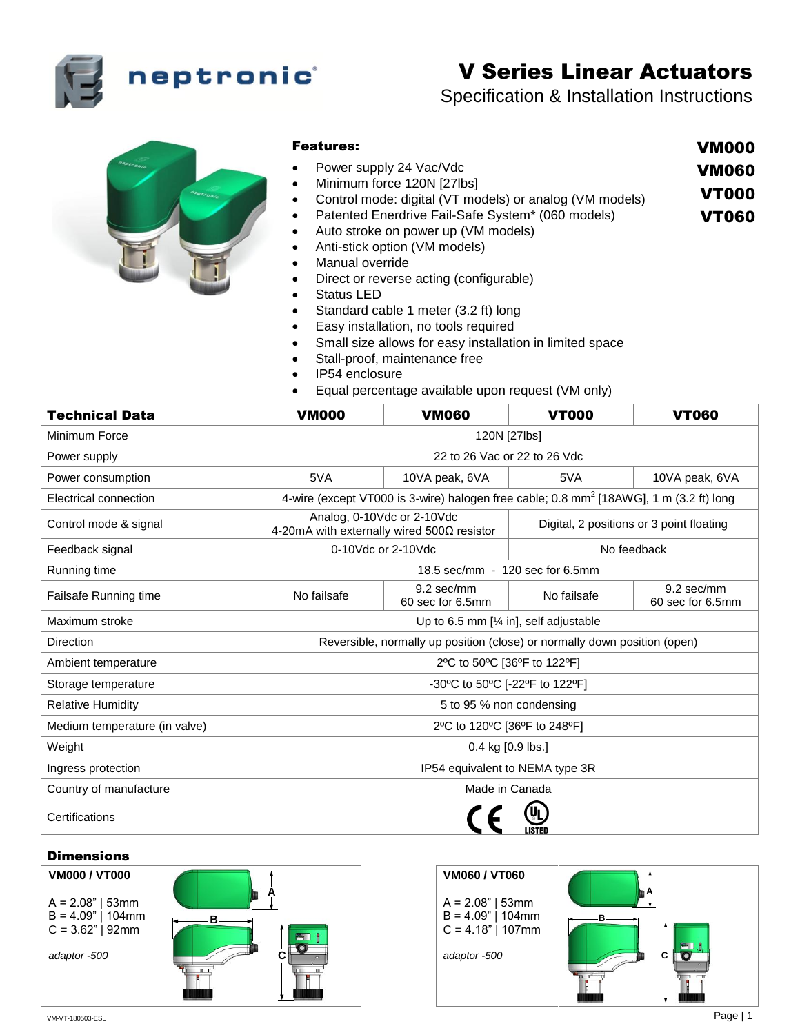

# V Series Linear Actuators

VM000 VM060 VT000 VT060

Specification & Installation Instructions



# Features:

- Power supply 24 Vac/Vdc
- Minimum force 120N [27lbs]
- Control mode: digital (VT models) or analog (VM models)
- Patented Enerdrive Fail-Safe System\* (060 models)
- Auto stroke on power up (VM models)
- Anti-stick option (VM models)
- Manual override
- Direct or reverse acting (configurable)
- Status LED
- Standard cable 1 meter (3.2 ft) long
- **Easy installation, no tools required**
- Small size allows for easy installation in limited space
- Stall-proof, maintenance free
- IP54 enclosure
- Equal percentage available upon request (VM only)

| <b>Technical Data</b>         | <b>VM000</b>                                                                                       | <b>VM060</b>                   | <b>VT000</b>                             | <b>VT060</b>                   |
|-------------------------------|----------------------------------------------------------------------------------------------------|--------------------------------|------------------------------------------|--------------------------------|
| Minimum Force                 | 120N [27lbs]                                                                                       |                                |                                          |                                |
| Power supply                  | 22 to 26 Vac or 22 to 26 Vdc                                                                       |                                |                                          |                                |
| Power consumption             | 5VA                                                                                                | 10VA peak, 6VA                 | 5VA                                      | 10VA peak, 6VA                 |
| Electrical connection         | 4-wire (except VT000 is 3-wire) halogen free cable; 0.8 mm <sup>2</sup> [18AWG], 1 m (3.2 ft) long |                                |                                          |                                |
| Control mode & signal         | Analog, 0-10Vdc or 2-10Vdc<br>4-20mA with externally wired 500Ω resistor                           |                                | Digital, 2 positions or 3 point floating |                                |
| Feedback signal               | 0-10Vdc or 2-10Vdc                                                                                 |                                | No feedback                              |                                |
| Running time                  | 18.5 sec/mm - 120 sec for 6.5mm                                                                    |                                |                                          |                                |
| Failsafe Running time         | No failsafe                                                                                        | 9.2 sec/mm<br>60 sec for 6.5mm | No failsafe                              | 9.2 sec/mm<br>60 sec for 6.5mm |
| Maximum stroke                | Up to 6.5 mm $[\frac{1}{4} in]$ , self adjustable                                                  |                                |                                          |                                |
| Direction                     | Reversible, normally up position (close) or normally down position (open)                          |                                |                                          |                                |
| Ambient temperature           | 2°C to 50°C [36°F to 122°F]                                                                        |                                |                                          |                                |
| Storage temperature           | -30°C to 50°C [-22°F to 122°F]                                                                     |                                |                                          |                                |
| <b>Relative Humidity</b>      | 5 to 95 % non condensing                                                                           |                                |                                          |                                |
| Medium temperature (in valve) | 2°C to 120°C [36°F to 248°F]                                                                       |                                |                                          |                                |
| Weight                        | 0.4 kg [0.9 lbs.]                                                                                  |                                |                                          |                                |
| Ingress protection            | IP54 equivalent to NEMA type 3R                                                                    |                                |                                          |                                |
| Country of manufacture        | Made in Canada                                                                                     |                                |                                          |                                |
| Certifications                |                                                                                                    |                                |                                          |                                |

# **Dimensions**

**VM000 / VT000**  $A = 2.08"$  | 53mm  $B = 4.09"$  | 104mm  $C = 3.62"$  | 92mm *adaptor -500* **B A c** 

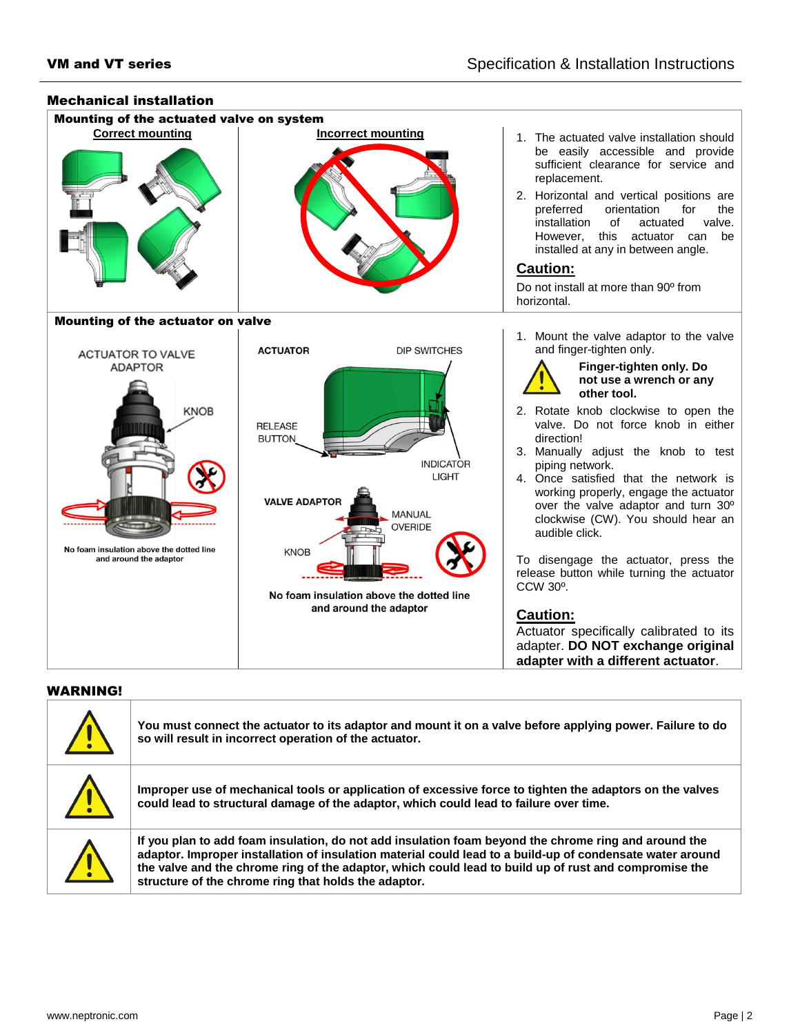

## WARNING!

|              | You must connect the actuator to its adaptor and mount it on a valve before applying power. Failure to do<br>so will result in incorrect operation of the actuator.                                                                                                                                                                                                                |
|--------------|------------------------------------------------------------------------------------------------------------------------------------------------------------------------------------------------------------------------------------------------------------------------------------------------------------------------------------------------------------------------------------|
| $\mathbf{T}$ | Improper use of mechanical tools or application of excessive force to tighten the adaptors on the valves<br>could lead to structural damage of the adaptor, which could lead to failure over time.                                                                                                                                                                                 |
| <u>\[</u>    | If you plan to add foam insulation, do not add insulation foam beyond the chrome ring and around the<br>adaptor. Improper installation of insulation material could lead to a build-up of condensate water around<br>the valve and the chrome ring of the adaptor, which could lead to build up of rust and compromise the<br>structure of the chrome ring that holds the adaptor. |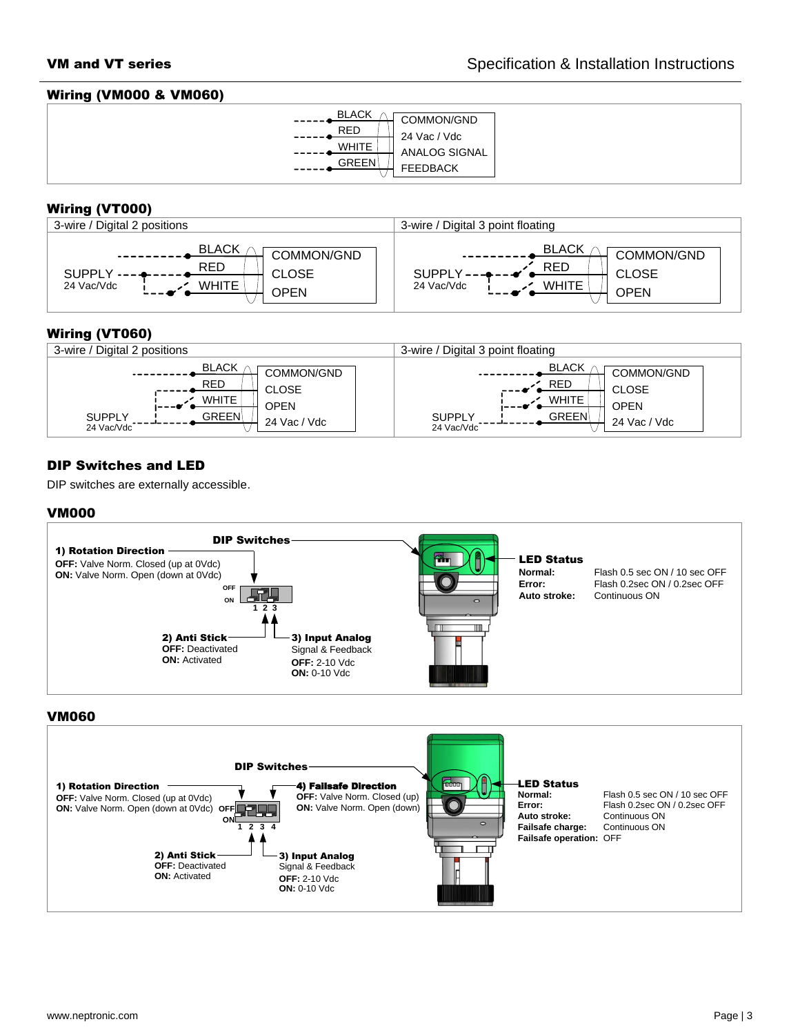#### Wiring (VM000 & VM060)



# Wiring (VT000)



# Wiring (VT060)



# DIP Switches and LED

DIP switches are externally accessible.

## VM000



#### VM060